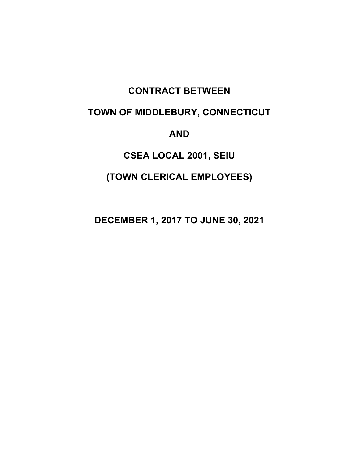# **CONTRACT BETWEEN**

# **TOWN OF MIDDLEBURY, CONNECTICUT**

**AND**

# **CSEA LOCAL 2001, SEIU**

# **(TOWN CLERICAL EMPLOYEES)**

**DECEMBER 1, 2017 TO JUNE 30, 2021**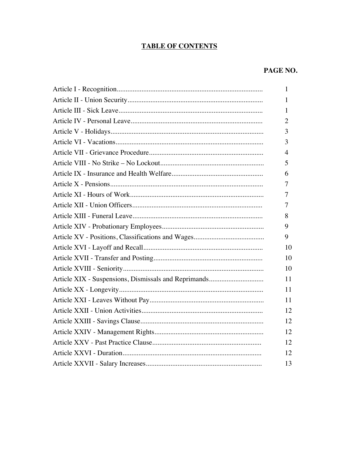## **TABLE OF CONTENTS**

## PAGE NO.

| 1  |
|----|
| 1  |
| 1  |
| 2  |
| 3  |
| 3  |
| 4  |
| 5  |
| 6  |
| 7  |
| 7  |
| 7  |
| 8  |
| 9  |
| 9  |
| 10 |
| 10 |
| 10 |
| 11 |
| 11 |
| 11 |
| 12 |
| 12 |
| 12 |
| 12 |
| 12 |
| 13 |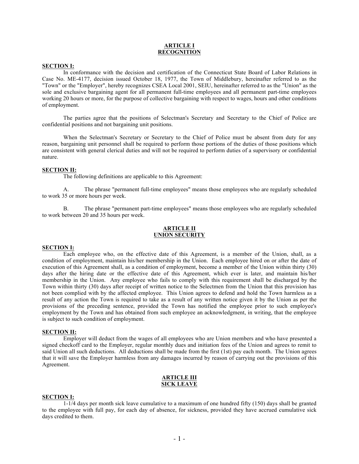#### **ARTICLE I RECOGNITION**

#### **SECTION I:**

In conformance with the decision and certification of the Connecticut State Board of Labor Relations in Case No. ME-4177, decision issued October 18, 1977, the Town of Middlebury, hereinafter referred to as the "Town" or the "Employer", hereby recognizes CSEA Local 2001, SEIU, hereinafter referred to as the "Union" as the sole and exclusive bargaining agent for all permanent full-time employees and all permanent part-time employees working 20 hours or more, for the purpose of collective bargaining with respect to wages, hours and other conditions of employment.

The parties agree that the positions of Selectman's Secretary and Secretary to the Chief of Police are confidential positions and not bargaining unit positions.

When the Selectman's Secretary or Secretary to the Chief of Police must be absent from duty for any reason, bargaining unit personnel shall be required to perform those portions of the duties of those positions which are consistent with general clerical duties and will not be required to perform duties of a supervisory or confidential nature.

#### **SECTION II:**

The following definitions are applicable to this Agreement:

A. The phrase "permanent full-time employees" means those employees who are regularly scheduled to work 35 or more hours per week.

B. The phrase "permanent part-time employees" means those employees who are regularly scheduled to work between 20 and 35 hours per week.

#### **ARTICLE II UNION SECURITY**

#### **SECTION I:**

Each employee who, on the effective date of this Agreement, is a member of the Union, shall, as a condition of employment, maintain his/her membership in the Union. Each employee hired on or after the date of execution of this Agreement shall, as a condition of employment, become a member of the Union within thirty (30) days after the hiring date or the effective date of this Agreement, which ever is later, and maintain his/her membership in the Union. Any employee who fails to comply with this requirement shall be discharged by the Town within thirty (30) days after receipt of written notice to the Selectmen from the Union that this provision has not been complied with by the affected employee. This Union agrees to defend and hold the Town harmless as a result of any action the Town is required to take as a result of any written notice given it by the Union as per the provisions of the preceding sentence, provided the Town has notified the employee prior to such employee's employment by the Town and has obtained from such employee an acknowledgment, in writing, that the employee is subject to such condition of employment.

### **SECTION II:**

Employer will deduct from the wages of all employees who are Union members and who have presented a signed checkoff card to the Employer, regular monthly dues and initiation fees of the Union and agrees to remit to said Union all such deductions. All deductions shall be made from the first (1st) pay each month. The Union agrees that it will save the Employer harmless from any damages incurred by reason of carrying out the provisions of this Agreement.

#### **ARTICLE III SICK LEAVE**

#### **SECTION I:**

1-1/4 days per month sick leave cumulative to a maximum of one hundred fifty (150) days shall be granted to the employee with full pay, for each day of absence, for sickness, provided they have accrued cumulative sick days credited to them.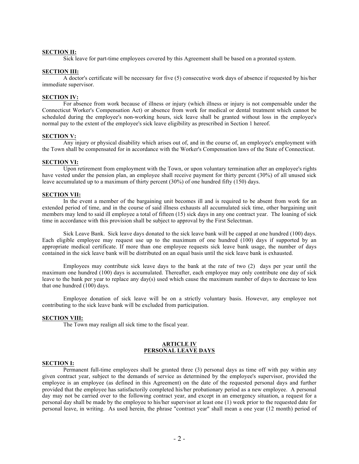#### **SECTION II:**

Sick leave for part-time employees covered by this Agreement shall be based on a prorated system.

#### **SECTION III:**

A doctor's certificate will be necessary for five (5) consecutive work days of absence if requested by his/her immediate supervisor.

#### **SECTION IV:**

For absence from work because of illness or injury (which illness or injury is not compensable under the Connecticut Worker's Compensation Act) or absence from work for medical or dental treatment which cannot be scheduled during the employee's non-working hours, sick leave shall be granted without loss in the employee's normal pay to the extent of the employee's sick leave eligibility as prescribed in Section 1 hereof.

#### **SECTION V:**

Any injury or physical disability which arises out of, and in the course of, an employee's employment with the Town shall be compensated for in accordance with the Worker's Compensation laws of the State of Connecticut.

#### **SECTION VI:**

Upon retirement from employment with the Town, or upon voluntary termination after an employee's rights have vested under the pension plan, an employee shall receive payment for thirty percent (30%) of all unused sick leave accumulated up to a maximum of thirty percent (30%) of one hundred fifty (150) days.

#### **SECTION VII:**

In the event a member of the bargaining unit becomes ill and is required to be absent from work for an extended period of time, and in the course of said illness exhausts all accumulated sick time, other bargaining unit members may lend to said ill employee a total of fifteen (15) sick days in any one contract year. The loaning of sick time in accordance with this provision shall be subject to approval by the First Selectman.

Sick Leave Bank. Sick leave days donated to the sick leave bank will be capped at one hundred (100) days. Each eligible employee may request use up to the maximum of one hundred (100) days if supported by an appropriate medical certificate. If more than one employee requests sick leave bank usage, the number of days contained in the sick leave bank will be distributed on an equal basis until the sick leave bank is exhausted.

Employees may contribute sick leave days to the bank at the rate of two (2) days per year until the maximum one hundred (100) days is accumulated. Thereafter, each employee may only contribute one day of sick leave to the bank per year to replace any day(s) used which cause the maximum number of days to decrease to less that one hundred (100) days.

Employee donation of sick leave will be on a strictly voluntary basis. However, any employee not contributing to the sick leave bank will be excluded from participation.

#### **SECTION VIII:**

The Town may realign all sick time to the fiscal year.

#### **ARTICLE IV PERSONAL LEAVE DAYS**

#### **SECTION I:**

Permanent full-time employees shall be granted three (3) personal days as time off with pay within any given contract year, subject to the demands of service as determined by the employee's supervisor, provided the employee is an employee (as defined in this Agreement) on the date of the requested personal days and further provided that the employee has satisfactorily completed his/her probationary period as a new employee. A personal day may not be carried over to the following contract year, and except in an emergency situation, a request for a personal day shall be made by the employee to his/her supervisor at least one (1) week prior to the requested date for personal leave, in writing. As used herein, the phrase "contract year" shall mean a one year (12 month) period of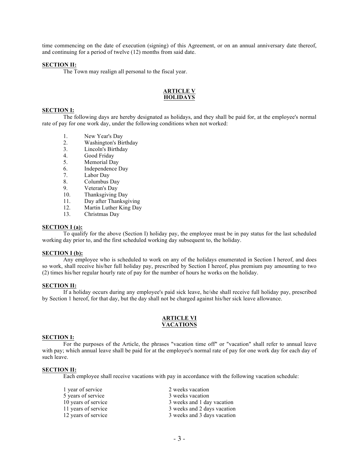time commencing on the date of execution (signing) of this Agreement, or on an annual anniversary date thereof, and continuing for a period of twelve (12) months from said date.

#### **SECTION II:**

The Town may realign all personal to the fiscal year.

#### **ARTICLE V HOLIDAYS**

### **SECTION I:**

The following days are hereby designated as holidays, and they shall be paid for, at the employee's normal rate of pay for one work day, under the following conditions when not worked:

- 1. New Year's Day<br>2. Washington's Bir
- Washington's Birthday
- 3. Lincoln's Birthday
- 4. Good Friday
- 5. Memorial Day
- 6. Independence Day<br>7. Labor Dav
- Labor Day
- 8. Columbus Day
- 9. Veteran's Day<br>10. Thanksgiving
- Thanksgiving Day
- 11. Day after Thanksgiving
- 12. Martin Luther King Day
- 13. Christmas Day

#### **SECTION I (a):**

To qualify for the above (Section I) holiday pay, the employee must be in pay status for the last scheduled working day prior to, and the first scheduled working day subsequent to, the holiday.

#### **SECTION I (b):**

Any employee who is scheduled to work on any of the holidays enumerated in Section I hereof, and does so work, shall receive his/her full holiday pay, prescribed by Section I hereof, plus premium pay amounting to two (2) times his/her regular hourly rate of pay for the number of hours he works on the holiday.

#### **SECTION II:**

If a holiday occurs during any employee's paid sick leave, he/she shall receive full holiday pay, prescribed by Section 1 hereof, for that day, but the day shall not be charged against his/her sick leave allowance.

#### **ARTICLE VI VACATIONS**

#### **SECTION I:**

For the purposes of the Article, the phrases "vacation time off" or "vacation" shall refer to annual leave with pay; which annual leave shall be paid for at the employee's normal rate of pay for one work day for each day of such leave.

#### **SECTION II:**

Each employee shall receive vacations with pay in accordance with the following vacation schedule:

| 1 year of service   | 2 weeks vacation            |
|---------------------|-----------------------------|
| 5 years of service  | 3 weeks vacation            |
| 10 years of service | 3 weeks and 1 day vacation  |
| 11 years of service | 3 weeks and 2 days vacation |
| 12 years of service | 3 weeks and 3 days vacation |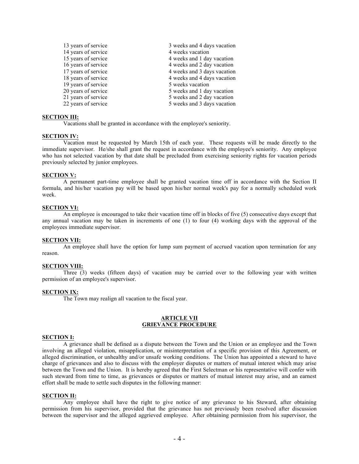| 13 years of service | 3 weeks and 4 days vacation |
|---------------------|-----------------------------|
| 14 years of service | 4 weeks vacation            |
| 15 years of service | 4 weeks and 1 day vacation  |
| 16 years of service | 4 weeks and 2 day vacation  |
| 17 years of service | 4 weeks and 3 days vacation |
| 18 years of service | 4 weeks and 4 days vacation |
| 19 years of service | 5 weeks vacation            |
| 20 years of service | 5 weeks and 1 day vacation  |
| 21 years of service | 5 weeks and 2 day vacation  |
| 22 years of service | 5 weeks and 3 days vacation |

#### **SECTION III:**

Vacations shall be granted in accordance with the employee's seniority.

#### **SECTION IV:**

Vacation must be requested by March 15th of each year. These requests will be made directly to the immediate supervisor. He/she shall grant the request in accordance with the employee's seniority. Any employee who has not selected vacation by that date shall be precluded from exercising seniority rights for vacation periods previously selected by junior employees.

#### **SECTION V:**

A permanent part-time employee shall be granted vacation time off in accordance with the Section II formula, and his/her vacation pay will be based upon his/her normal week's pay for a normally scheduled work week.

#### **SECTION VI:**

An employee is encouraged to take their vacation time off in blocks of five (5) consecutive days except that any annual vacation may be taken in increments of one (1) to four (4) working days with the approval of the employees immediate supervisor.

#### **SECTION VII:**

An employee shall have the option for lump sum payment of accrued vacation upon termination for any reason.

#### **SECTION VIII:**

Three (3) weeks (fifteen days) of vacation may be carried over to the following year with written permission of an employee's supervisor.

#### **SECTION IX:**

The Town may realign all vacation to the fiscal year.

#### **ARTICLE VII GRIEVANCE PROCEDURE**

#### **SECTION I:**

A grievance shall be defined as a dispute between the Town and the Union or an employee and the Town involving an alleged violation, misapplication, or misinterpretation of a specific provision of this Agreement, or alleged discrimination, or unhealthy and/or unsafe working conditions. The Union has appointed a steward to have charge of grievances and also to discuss with the employer disputes or matters of mutual interest which may arise between the Town and the Union. It is hereby agreed that the First Selectman or his representative will confer with such steward from time to time, as grievances or disputes or matters of mutual interest may arise, and an earnest effort shall be made to settle such disputes in the following manner:

#### **SECTION II:**

Any employee shall have the right to give notice of any grievance to his Steward, after obtaining permission from his supervisor, provided that the grievance has not previously been resolved after discussion between the supervisor and the alleged aggrieved employee. After obtaining permission from his supervisor, the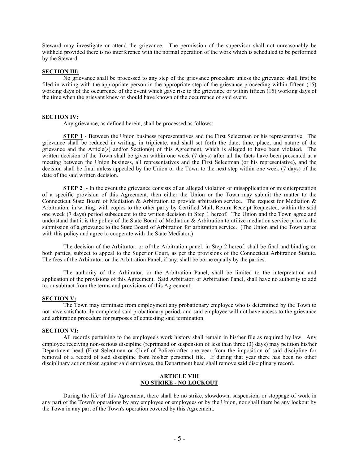Steward may investigate or attend the grievance. The permission of the supervisor shall not unreasonably be withheld provided there is no interference with the normal operation of the work which is scheduled to be performed by the Steward.

#### **SECTION III:**

No grievance shall be processed to any step of the grievance procedure unless the grievance shall first be filed in writing with the appropriate person in the appropriate step of the grievance proceeding within fifteen (15) working days of the occurrence of the event which gave rise to the grievance or within fifteen (15) working days of the time when the grievant knew or should have known of the occurrence of said event.

#### **SECTION IV:**

Any grievance, as defined herein, shall be processed as follows:

**STEP 1** - Between the Union business representatives and the First Selectman or his representative. The grievance shall be reduced in writing, in triplicate, and shall set forth the date, time, place, and nature of the grievance and the Article(s) and/or Section(s) of this Agreement, which is alleged to have been violated. The written decision of the Town shall be given within one week (7 days) after all the facts have been presented at a meeting between the Union business, all representatives and the First Selectman (or his representative), and the decision shall be final unless appealed by the Union or the Town to the next step within one week (7 days) of the date of the said written decision.

**STEP 2** - In the event the grievance consists of an alleged violation or misapplication or misinterpretation of a specific provision of this Agreement, then either the Union or the Town may submit the matter to the Connecticut State Board of Mediation & Arbitration to provide arbitration service. The request for Mediation & Arbitration, in writing, with copies to the other party by Certified Mail, Return Receipt Requested, within the said one week (7 days) period subsequent to the written decision in Step 1 hereof. The Union and the Town agree and understand that it is the policy of the State Board of Mediation  $\&$  Arbitration to utilize mediation service prior to the submission of a grievance to the State Board of Arbitration for arbitration service. (The Union and the Town agree with this policy and agree to cooperate with the State Mediator.)

The decision of the Arbitrator, or of the Arbitration panel, in Step 2 hereof, shall be final and binding on both parties, subject to appeal to the Superior Court, as per the provisions of the Connecticut Arbitration Statute. The fees of the Arbitrator, or the Arbitration Panel, if any, shall be borne equally by the parties.

The authority of the Arbitrator, or the Arbitration Panel, shall be limited to the interpretation and application of the provisions of this Agreement. Said Arbitrator, or Arbitration Panel, shall have no authority to add to, or subtract from the terms and provisions of this Agreement.

#### **SECTION V:**

The Town may terminate from employment any probationary employee who is determined by the Town to not have satisfactorily completed said probationary period, and said employee will not have access to the grievance and arbitration procedure for purposes of contesting said termination.

#### **SECTION VI:**

All records pertaining to the employee's work history shall remain in his/her file as required by law. Any employee receiving non-serious discipline (reprimand or suspension of less than three (3) days) may petition his/her Department head (First Selectman or Chief of Police) after one year from the imposition of said discipline for removal of a record of said discipline from his/her personnel file. If during that year there has been no other disciplinary action taken against said employee, the Department head shall remove said disciplinary record.

#### **ARTICLE VIII NO STRIKE - NO LOCKOUT**

During the life of this Agreement, there shall be no strike, slowdown, suspension, or stoppage of work in any part of the Town's operations by any employee or employees or by the Union, nor shall there be any lockout by the Town in any part of the Town's operation covered by this Agreement.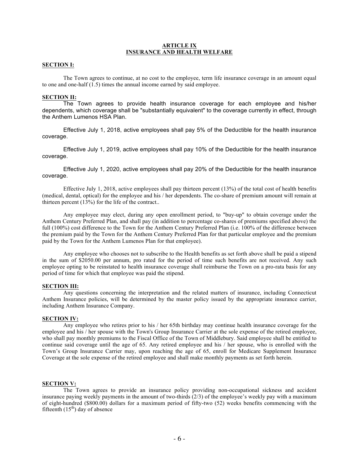#### **ARTICLE IX INSURANCE AND HEALTH WELFARE**

#### **SECTION I:**

The Town agrees to continue, at no cost to the employee, term life insurance coverage in an amount equal to one and one-half (1.5) times the annual income earned by said employee.

#### **SECTION II:**

The Town agrees to provide health insurance coverage for each employee and his/her dependents, which coverage shall be "substantially equivalent" to the coverage currently in effect, through the Anthem Lumenos HSA Plan.

Effective July 1, 2018, active employees shall pay 5% of the Deductible for the health insurance coverage.

Effective July 1, 2019, active employees shall pay 10% of the Deductible for the health insurance coverage.

Effective July 1, 2020, active employees shall pay 20% of the Deductible for the health insurance coverage.

Effective July 1, 2018, active employees shall pay thirteen percent (13%) of the total cost of health benefits (medical, dental, optical) for the employee and his / her dependents. The co-share of premium amount will remain at thirteen percent  $(13%)$  for the life of the contract..

Any employee may elect, during any open enrollment period, to "buy-up" to obtain coverage under the Anthem Century Preferred Plan, and shall pay (in addition to percentage co-shares of premiums specified above) the full (100%) cost difference to the Town for the Anthem Century Preferred Plan (i.e. 100% of the difference between the premium paid by the Town for the Anthem Century Preferred Plan for that particular employee and the premium paid by the Town for the Anthem Lumenos Plan for that employee).

Any employee who chooses not to subscribe to the Health benefits as set forth above shall be paid a stipend in the sum of \$2050.00 per annum, pro rated for the period of time such benefits are not received. Any such employee opting to be reinstated to health insurance coverage shall reimburse the Town on a pro-rata basis for any period of time for which that employee was paid the stipend.

#### **SECTION III:**

Any questions concerning the interpretation and the related matters of insurance, including Connecticut Anthem Insurance policies, will be determined by the master policy issued by the appropriate insurance carrier, including Anthem Insurance Company.

#### **SECTION IV:**

Any employee who retires prior to his / her 65th birthday may continue health insurance coverage for the employee and his / her spouse with the Town's Group Insurance Carrier at the sole expense of the retired employee, who shall pay monthly premiums to the Fiscal Office of the Town of Middlebury. Said employee shall be entitled to continue said coverage until the age of 65. Any retired employee and his / her spouse, who is enrolled with the Town's Group Insurance Carrier may, upon reaching the age of 65, enroll for Medicare Supplement Insurance Coverage at the sole expense of the retired employee and shall make monthly payments as set forth herein.

#### **SECTION V:**

The Town agrees to provide an insurance policy providing non-occupational sickness and accident insurance paying weekly payments in the amount of two-thirds (2/3) of the employee's weekly pay with a maximum of eight-hundred (\$800.00) dollars for a maximum period of fifty-two (52) weeks benefits commencing with the fifteenth  $(15<sup>th</sup>)$  day of absence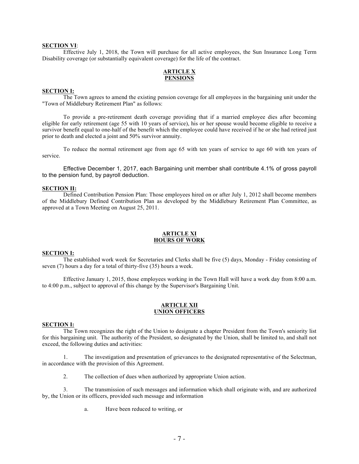#### **SECTION VI**:

Effective July 1, 2018, the Town will purchase for all active employees, the Sun Insurance Long Term Disability coverage (or substantially equivalent coverage) for the life of the contract.

#### **ARTICLE X PENSIONS**

#### **SECTION I:**

The Town agrees to amend the existing pension coverage for all employees in the bargaining unit under the "Town of Middlebury Retirement Plan" as follows:

To provide a pre-retirement death coverage providing that if a married employee dies after becoming eligible for early retirement (age 55 with 10 years of service), his or her spouse would become eligible to receive a survivor benefit equal to one-half of the benefit which the employee could have received if he or she had retired just prior to death and elected a joint and 50% survivor annuity.

To reduce the normal retirement age from age 65 with ten years of service to age 60 with ten years of service.

Effective December 1, 2017, each Bargaining unit member shall contribute 4.1% of gross payroll to the pension fund, by payroll deduction.

#### **SECTION II:**

Defined Contribution Pension Plan: Those employees hired on or after July 1, 2012 shall become members of the Middlebury Defined Contribution Plan as developed by the Middlebury Retirement Plan Committee, as approved at a Town Meeting on August 25, 2011.

#### **ARTICLE XI HOURS OF WORK**

#### **SECTION I:**

The established work week for Secretaries and Clerks shall be five (5) days, Monday - Friday consisting of seven (7) hours a day for a total of thirty-five (35) hours a week.

Effective January 1, 2015, those employees working in the Town Hall will have a work day from 8:00 a.m. to 4:00 p.m., subject to approval of this change by the Supervisor's Bargaining Unit.

#### **ARTICLE XII UNION OFFICERS**

#### **SECTION I:**

The Town recognizes the right of the Union to designate a chapter President from the Town's seniority list for this bargaining unit. The authority of the President, so designated by the Union, shall be limited to, and shall not exceed, the following duties and activities:

1. The investigation and presentation of grievances to the designated representative of the Selectman, in accordance with the provision of this Agreement.

2. The collection of dues when authorized by appropriate Union action.

3. The transmission of such messages and information which shall originate with, and are authorized by, the Union or its officers, provided such message and information

a. Have been reduced to writing, or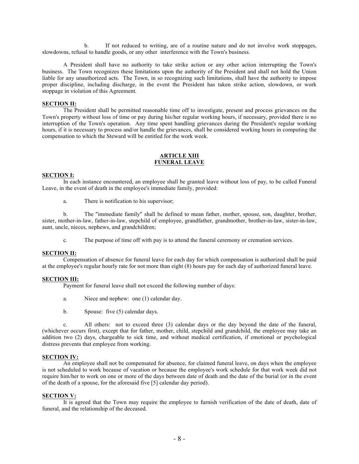b. If not reduced to writing, are of a routine nature and do not involve work stoppages, slowdowns, refusal to handle goods, or any other interference with the Town's business.

A President shall have no authority to take strike action or any other action interrupting the Town's business. The Town recognizes these limitations upon the authority of the President and shall not hold the Union liable for any unauthorized acts. The Town, in so recognizing such limitations, shall have the authority to impose proper discipline, including discharge, in the event the President has taken strike action, slowdown, or work stoppage in violation of this Agreement.

#### **SECTION II:**

The President shall be permitted reasonable time off to investigate, present and process grievances on the Town's property without loss of time or pay during his/her regular working hours, if necessary, provided there is no interruption of the Town's operation. Any time spent handling grievances during the President's regular working hours, if it is necessary to process and/or handle the grievances, shall be considered working hours in computing the compensation to which the Steward will be entitled for the work week.

#### **ARTICLE XIII FUNERAL LEAVE**

#### **SECTION I:**

In each instance encountered, an employee shall be granted leave without loss of pay, to be called Funeral Leave, in the event of death in the employee's immediate family, provided:

a. There is notification to his supervisor;

b. The "immediate family" shall be defined to mean father, mother, spouse, son, daughter, brother, sister, mother-in-law, father-in-law, stepchild of employee, grandfather, grandmother, brother-in-law, sister-in-law, aunt, uncle, nieces, nephews, and grandchildren;

c. The purpose of time off with pay is to attend the funeral ceremony or cremation services.

#### **SECTION II:**

Compensation of absence for funeral leave for each day for which compensation is authorized shall be paid at the employee's regular hourly rate for not more than eight (8) hours pay for each day of authorized funeral leave.

#### **SECTION III:**

Payment for funeral leave shall not exceed the following number of days:

- a. Niece and nephew: one (1) calendar day.
- b. Spouse: five (5) calendar days.

c. All others: not to exceed three (3) calendar days or the day beyond the date of the funeral, (whichever occurs first), except that for father, mother, child, stepchild and grandchild, the employee may take an addition two (2) days, chargeable to sick time, and without medical certification, if emotional or psychological distress prevents that employee from working.

#### **SECTION IV:**

An employee shall not be compensated for absence, for claimed funeral leave, on days when the employee is not scheduled to work because of vacation or because the employee's work schedule for that work week did not require him/her to work on one or more of the days between date of death and the date of the burial (or in the event of the death of a spouse, for the aforesaid five [5] calendar day period).

#### **SECTION V:**

It is agreed that the Town may require the employee to furnish verification of the date of death, date of funeral, and the relationship of the deceased.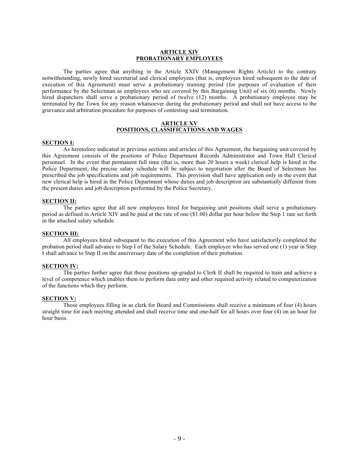#### **ARTICLE XIV PROBATIONARY EMPLOYEES**

The parties agree that anything in the Article XXIV (Management Rights Article) to the contrary notwithstanding, newly hired secretarial and clerical employees (that is, employees hired subsequent to the date of execution of this Agreement) must serve a probationary training period (for purposes of evaluation of their performance by the Selectman as employees who are covered by this Bargaining Unit) of six (6) months. Newly hired dispatchers shall serve a probationary period of twelve (12) months. A probationary employee may be terminated by the Town for any reason whatsoever during the probationary period and shall not have access to the grievance and arbitration procedure for purposes of contesting said termination.

#### **ARTICLE XV POSITIONS, CLASSIFICATIONS AND WAGES**

#### **SECTION I:**

As heretofore indicated in previous sections and articles of this Agreement, the bargaining unit covered by this Agreement consists of the positions of Police Department Records Administrator and Town Hall Clerical personnel. In the event that permanent full time (that is, more than 20 hours a week) clerical help is hired in the Police Department, the precise salary schedule will be subject to negotiation after the Board of Selectmen has prescribed the job specifications and job requirements. This provision shall have application only in the event that new clerical help is hired in the Police Department whose duties and job description are substantially different from the present duties and job description performed by the Police Secretary.

#### **SECTION II:**

The parties agree that all new employees hired for bargaining unit positions shall serve a probationary period as defined in Article XIV and be paid at the rate of one (\$1.00) dollar per hour below the Step 1 rate set forth in the attached salary schedule.

#### **SECTION III:**

All employees hired subsequent to the execution of this Agreement who have satisfactorily completed the probation period shall advance to Step I of the Salary Schedule. Each employee who has served one (1) year in Step I shall advance to Step II on the anniversary date of the completion of their probation.

#### **SECTION IV:**

The parties further agree that those positions up-graded to Clerk II shall be required to train and achieve a level of competence which enables them to perform data entry and other required activity related to computerization of the functions which they perform.

#### **SECTION V:**

Those employees filling in as clerk for Board and Commissions shall receive a minimum of four (4) hours straight time for each meeting attended and shall receive time and one-half for all hours over four (4) on an hour for hour basis.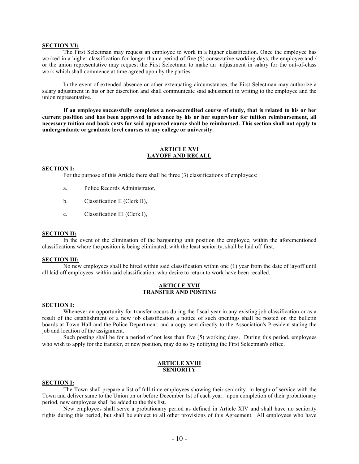#### **SECTION VI:**

The First Selectman may request an employee to work in a higher classification. Once the employee has worked in a higher classification for longer than a period of five (5) consecutive working days, the employee and / or the union representative may request the First Selectman to make an adjustment in salary for the out-of-class work which shall commence at time agreed upon by the parties.

In the event of extended absence or other extenuating circumstances, the First Selectman may authorize a salary adjustment in his or her discretion and shall communicate said adjustment in writing to the employee and the union representative.

**If an employee successfully completes a non-accredited course of study, that is related to his or her current position and has been approved in advance by his or her supervisor for tuition reimbursement, all necessary tuition and book costs for said approved course shall be reimbursed. This section shall not apply to undergraduate or graduate level courses at any college or university.**

#### **ARTICLE XVI LAYOFF AND RECALL**

#### **SECTION I:**

For the purpose of this Article there shall be three (3) classifications of employees:

- a. Police Records Administrator,
- b. Classification II (Clerk II),
- c. Classification III (Clerk I),

#### **SECTION II:**

In the event of the elimination of the bargaining unit position the employee, within the aforementioned classifications where the position is being eliminated, with the least seniority, shall be laid off first.

#### **SECTION III:**

No new employees shall be hired within said classification within one (1) year from the date of layoff until all laid off employees within said classification, who desire to return to work have been recalled.

#### **ARTICLE XVII TRANSFER AND POSTING**

#### **SECTION I:**

Whenever an opportunity for transfer occurs during the fiscal year in any existing job classification or as a result of the establishment of a new job classification a notice of such openings shall be posted on the bulletin boards at Town Hall and the Police Department, and a copy sent directly to the Association's President stating the job and location of the assignment.

Such posting shall be for a period of not less than five (5) working days. During this period, employees who wish to apply for the transfer, or new position, may do so by notifying the First Selectman's office.

#### **ARTICLE XVIII SENIORITY**

#### **SECTION I:**

The Town shall prepare a list of full-time employees showing their seniority in length of service with the Town and deliver same to the Union on or before December 1st of each year. upon completion of their probationary period, new employees shall be added to the this list.

New employees shall serve a probationary period as defined in Article XIV and shall have no seniority rights during this period, but shall be subject to all other provisions of this Agreement. All employees who have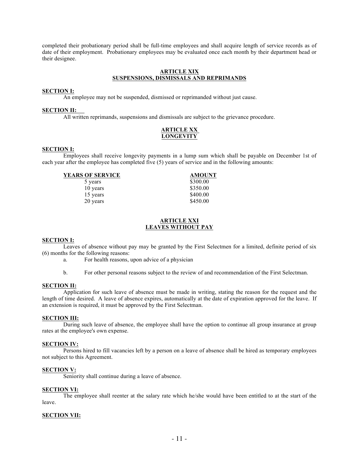completed their probationary period shall be full-time employees and shall acquire length of service records as of date of their employment. Probationary employees may be evaluated once each month by their department head or their designee.

#### **ARTICLE XIX SUSPENSIONS, DISMISSALS AND REPRIMANDS**

#### **SECTION I:**

An employee may not be suspended, dismissed or reprimanded without just cause.

#### **SECTION II:**

All written reprimands, suspensions and dismissals are subject to the grievance procedure.

#### **ARTICLE XX LONGEVITY**

#### **SECTION I:**

Employees shall receive longevity payments in a lump sum which shall be payable on December 1st of each year after the employee has completed five (5) years of service and in the following amounts:

| <b>YEARS OF SERVICE</b> | <b>AMOUNT</b> |
|-------------------------|---------------|
|                         | 0.20000       |

| 5 years  | \$300.00 |
|----------|----------|
| 10 years | \$350.00 |
| 15 years | \$400.00 |
| 20 years | \$450.00 |
|          |          |

#### **ARTICLE XXI LEAVES WITHOUT PAY**

#### **SECTION I:**

Leaves of absence without pay may be granted by the First Selectmen for a limited, definite period of six (6) months for the following reasons:

- a. For health reasons, upon advice of a physician
- b. For other personal reasons subject to the review of and recommendation of the First Selectman.

#### **SECTION II:**

Application for such leave of absence must be made in writing, stating the reason for the request and the length of time desired. A leave of absence expires, automatically at the date of expiration approved for the leave. If an extension is required, it must be approved by the First Selectman.

#### **SECTION III:**

During such leave of absence, the employee shall have the option to continue all group insurance at group rates at the employee's own expense.

#### **SECTION IV:**

Persons hired to fill vacancies left by a person on a leave of absence shall be hired as temporary employees not subject to this Agreement.

#### **SECTION V:**

Seniority shall continue during a leave of absence.

#### **SECTION VI:**

The employee shall reenter at the salary rate which he/she would have been entitled to at the start of the leave.

#### **SECTION VII:**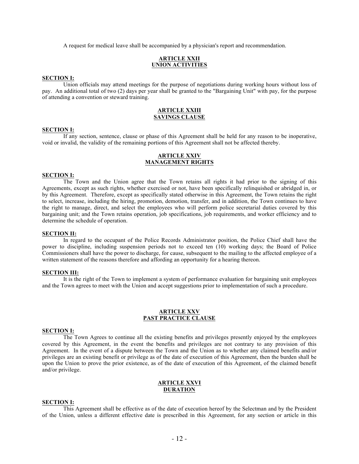A request for medical leave shall be accompanied by a physician's report and recommendation.

### **ARTICLE XXII UNION ACTIVITIES**

#### **SECTION I:**

Union officials may attend meetings for the purpose of negotiations during working hours without loss of pay. An additional total of two (2) days per year shall be granted to the "Bargaining Unit" with pay, for the purpose of attending a convention or steward training.

#### **ARTICLE XXIII SAVINGS CLAUSE**

#### **SECTION I:**

If any section, sentence, clause or phase of this Agreement shall be held for any reason to be inoperative, void or invalid, the validity of the remaining portions of this Agreement shall not be affected thereby.

#### **ARTICLE XXIV MANAGEMENT RIGHTS**

#### **SECTION I:**

The Town and the Union agree that the Town retains all rights it had prior to the signing of this Agreements, except as such rights, whether exercised or not, have been specifically relinquished or abridged in, or by this Agreement. Therefore, except as specifically stated otherwise in this Agreement, the Town retains the right to select, increase, including the hiring, promotion, demotion, transfer, and in addition, the Town continues to have the right to manage, direct, and select the employees who will perform police secretarial duties covered by this bargaining unit; and the Town retains operation, job specifications, job requirements, and worker efficiency and to determine the schedule of operation.

#### **SECTION II:**

In regard to the occupant of the Police Records Administrator position, the Police Chief shall have the power to discipline, including suspension periods not to exceed ten (10) working days; the Board of Police Commissioners shall have the power to discharge, for cause, subsequent to the mailing to the affected employee of a written statement of the reasons therefore and affording an opportunity for a hearing thereon.

#### **SECTION III:**

It is the right of the Town to implement a system of performance evaluation for bargaining unit employees and the Town agrees to meet with the Union and accept suggestions prior to implementation of such a procedure.

#### **ARTICLE XXV PAST PRACTICE CLAUSE**

#### **SECTION I:**

The Town Agrees to continue all the existing benefits and privileges presently enjoyed by the employees covered by this Agreement, in the event the benefits and privileges are not contrary to any provision of this Agreement. In the event of a dispute between the Town and the Union as to whether any claimed benefits and/or privileges are an existing benefit or privilege as of the date of execution of this Agreement, then the burden shall be upon the Union to prove the prior existence, as of the date of execution of this Agreement, of the claimed benefit and/or privilege.

#### **ARTICLE XXVI DURATION**

#### **SECTION I:**

This Agreement shall be effective as of the date of execution hereof by the Selectman and by the President of the Union, unless a different effective date is prescribed in this Agreement, for any section or article in this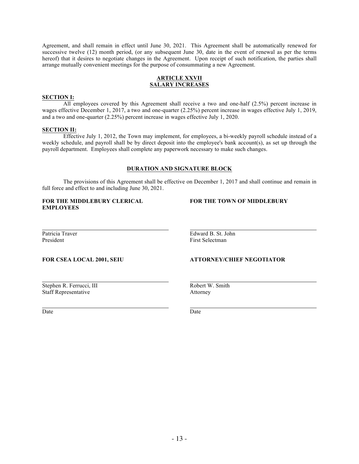Agreement, and shall remain in effect until June 30, 2021. This Agreement shall be automatically renewed for successive twelve (12) month period, (or any subsequent June 30, date in the event of renewal as per the terms hereof) that it desires to negotiate changes in the Agreement. Upon receipt of such notification, the parties shall arrange mutually convenient meetings for the purpose of consummating a new Agreement.

#### **ARTICLE XXVII SALARY INCREASES**

#### **SECTION I:**

All employees covered by this Agreement shall receive a two and one-half (2.5%) percent increase in wages effective December 1, 2017, a two and one-quarter (2.25%) percent increase in wages effective July 1, 2019, and a two and one-quarter (2.25%) percent increase in wages effective July 1, 2020.

#### **SECTION II:**

Effective July 1, 2012, the Town may implement, for employees, a bi-weekly payroll schedule instead of a weekly schedule, and payroll shall be by direct deposit into the employee's bank account(s), as set up through the payroll department. Employees shall complete any paperwork necessary to make such changes.

#### **DURATION AND SIGNATURE BLOCK**

The provisions of this Agreement shall be effective on December 1, 2017 and shall continue and remain in full force and effect to and including June 30, 2021.

#### **FOR THE MIDDLEBURY CLERICAL FOR THE TOWN OF MIDDLEBURY EMPLOYEES**

Patricia Traver **Edward B. St. John** President First Selectman

#### **FOR CSEA LOCAL 2001, SEIU ATTORNEY/CHIEF NEGOTIATOR**

Stephen R. Ferrucci, III Robert W. Smith Staff Representative Attorney

Date Date Date